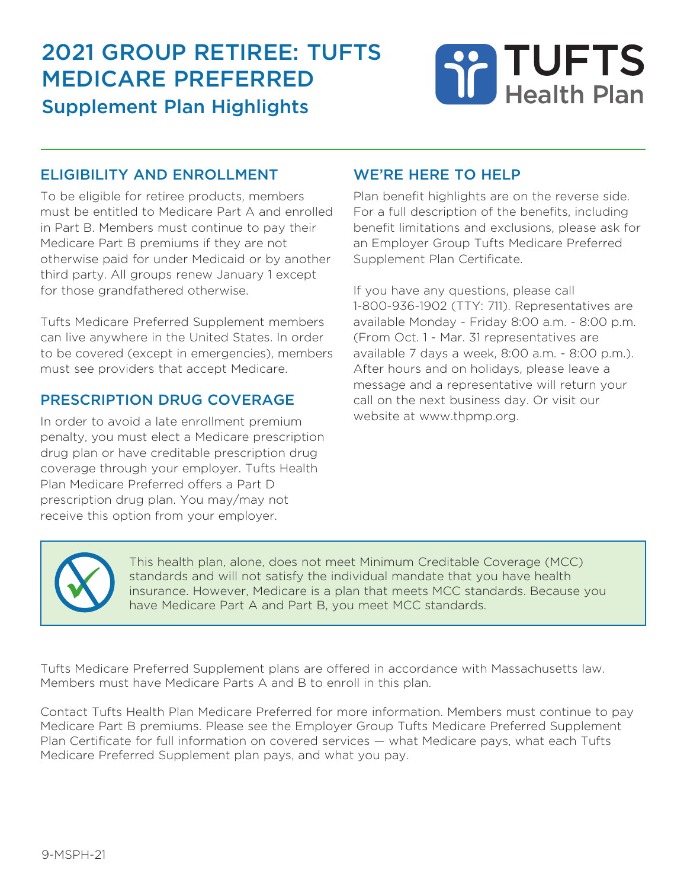# 2021 group retiree: tuFts medicare preFerred Supplement Plan Highlights

# TUFTS<br>Health Plan

#### eligibility and enrollment

To be eligible for retiree products, members must be entitled to Medicare Part A and enrolled in Part B. Members must continue to pay their Medicare Part B premiums if they are not otherwise paid for under Medicaid or by another third party. All groups renew January 1 except for those grandfathered otherwise.

Tufts Medicare Preferred Supplement members can live anywhere in the United States. In order to be covered (except in emergencies), members must see providers that accept Medicare.

#### prescription drug coverage

In order to avoid a late enrollment premium penalty, you must elect a Medicare prescription drug plan or have creditable prescription drug coverage through your employer. Tufts Health Plan Medicare Preferred offers a Part D prescription drug plan. You may/may not receive this option from your employer.

#### we're here to help

Plan benefit highlights are on the reverse side. For a full description of the benefits, including benefit limitations and exclusions, please ask for an Employer Group Tufts Medicare Preferred Supplement Plan Certificate.

If you have any questions, please call 1-800-936-1902 (TTY: 711). Representatives are available Monday - Friday 8:00 a.m. - 8:00 p.m. (From Oct. 1 - Mar. 31 representatives are available 7 days a week, 8:00 a.m. - 8:00 p.m.). After hours and on holidays, please leave a message and a representative will return your call on the next business day. Or visit our website at www.thpmp.org.



This health plan, alone, does not meet Minimum Creditable Coverage (MCC) standards and will not satisfy the individual mandate that you have health insurance. However, Medicare is a plan that meets MCC standards. Because y standards and will not satisfy the individual mandate that you have health insurance. However, Medicare is a plan that meets MCC standards. Because you have Medicare Part A and Part B, you meet MCC standards.

Tufts Medicare Preferred Supplement plans are offered in accordance with Massachusetts law. Members must have Medicare Parts A and B to enroll in this plan.

Contact Tufts Health Plan Medicare Preferred for more information. Members must continue to pay Medicare Part B premiums. Please see the Employer Group Tufts Medicare Preferred Supplement Plan Certificate for full information on covered services — what Medicare pays, what each Tufts Medicare Preferred Supplement plan pays, and what you pay.